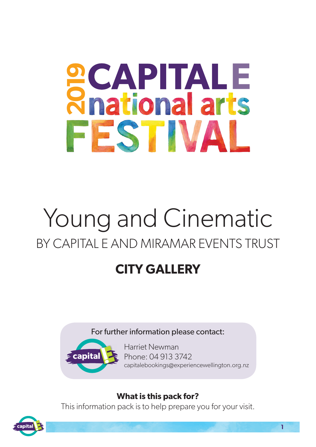# **SCAPITALE**<br>Rhational arts FESTIVAL

# Young and Cinematic BY CAPITAL E AND MIRAMAR EVENTS TRUST

# **CITY GALLERY**

For further information please contact:



Harriet Newman Phone: 04 913 3742 capitalebookings@experiencewellington.org.nz

# **What is this pack for?**

This information pack is to help prepare you for your visit.

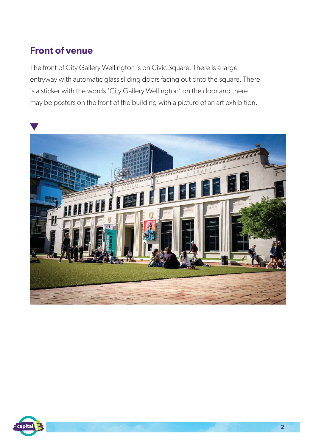### **Front of venue**

The front of City Gallery Wellington is on Civic Square. There is a large entryway with automatic glass sliding doors facing out onto the square. There is a sticker with the words 'City Gallery Wellington' on the door and there may be posters on the front of the building with a picture of an art exhibition.



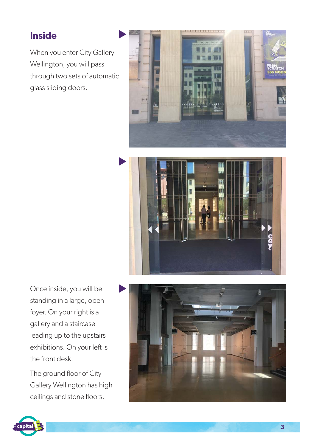# **Inside**

When you enter City Gallery Wellington, you will pass through two sets of automatic glass sliding doors.





Once inside, you will be standing in a large, open foyer. On your right is a gallery and a staircase leading up to the upstairs exhibitions. On your left is the front desk.

The ground floor of City Gallery Wellington has high ceilings and stone floors.



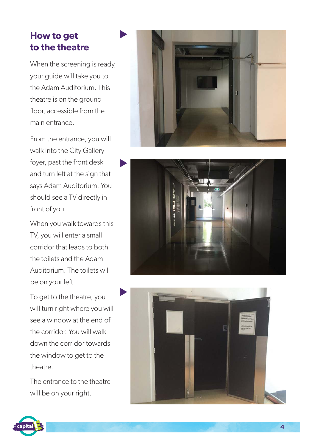# **How to get to the theatre**

When the screening is ready, your guide will take you to the Adam Auditorium. This theatre is on the ground floor, accessible from the main entrance.

From the entrance, you will walk into the City Gallery foyer, past the front desk and turn left at the sign that says Adam Auditorium. You should see a TV directly in front of you.

When you walk towards this TV, you will enter a small corridor that leads to both the toilets and the Adam Auditorium. The toilets will be on your left.

To get to the theatre, you will turn right where you will see a window at the end of the corridor. You will walk down the corridor towards the window to get to the theatre.

The entrance to the theatre will be on your right.







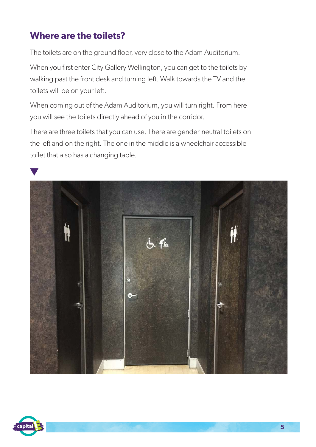# **Where are the toilets?**

The toilets are on the ground floor, very close to the Adam Auditorium.

When you first enter City Gallery Wellington, you can get to the toilets by walking past the front desk and turning left. Walk towards the TV and the toilets will be on your left.

When coming out of the Adam Auditorium, you will turn right. From here you will see the toilets directly ahead of you in the corridor.

There are three toilets that you can use. There are gender-neutral toilets on the left and on the right. The one in the middle is a wheelchair accessible toilet that also has a changing table.



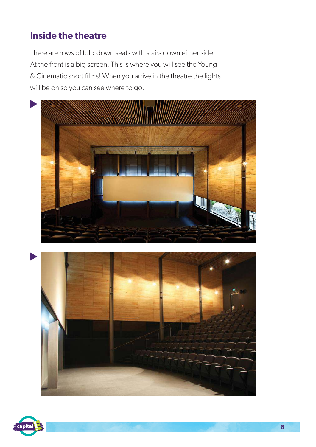# **Inside the theatre**

There are rows of fold-down seats with stairs down either side. At the front is a big screen. This is where you will see the Young & Cinematic short films! When you arrive in the theatre the lights will be on so you can see where to go.





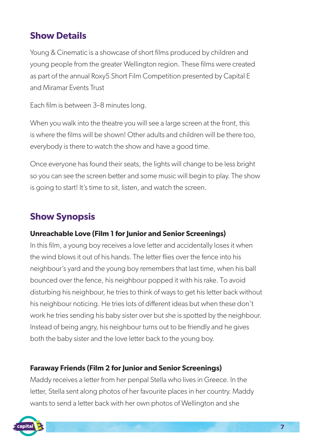# **Show Details**

Young & Cinematic is a showcase of short films produced by children and young people from the greater Wellington region. These films were created as part of the annual Roxy5 Short Film Competition presented by Capital E and Miramar Events Trust

Each film is between 3–8 minutes long.

When you walk into the theatre you will see a large screen at the front, this is where the films will be shown! Other adults and children will be there too, everybody is there to watch the show and have a good time.

Once everyone has found their seats, the lights will change to be less bright so you can see the screen better and some music will begin to play. The show is going to start! It's time to sit, listen, and watch the screen.

# **Show Synopsis**

#### **Unreachable Love (Film 1 for Junior and Senior Screenings)**

In this film, a young boy receives a love letter and accidentally loses it when the wind blows it out of his hands. The letter flies over the fence into his neighbour's yard and the young boy remembers that last time, when his ball bounced over the fence, his neighbour popped it with his rake. To avoid disturbing his neighbour, he tries to think of ways to get his letter back without his neighbour noticing. He tries lots of different ideas but when these don't work he tries sending his baby sister over but she is spotted by the neighbour. Instead of being angry, his neighbour turns out to be friendly and he gives both the baby sister and the love letter back to the young boy.

#### **Faraway Friends (Film 2 for Junior and Senior Screenings)**

Maddy receives a letter from her penpal Stella who lives in Greece. In the letter, Stella sent along photos of her favourite places in her country. Maddy wants to send a letter back with her own photos of Wellington and she

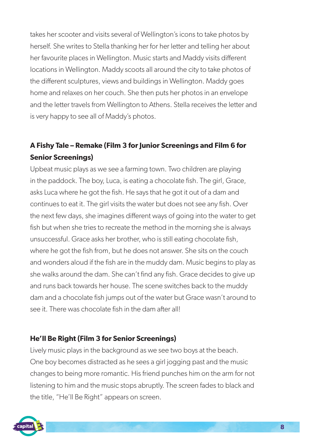takes her scooter and visits several of Wellington's icons to take photos by herself. She writes to Stella thanking her for her letter and telling her about her favourite places in Wellington. Music starts and Maddy visits different locations in Wellington. Maddy scoots all around the city to take photos of the different sculptures, views and buildings in Wellington. Maddy goes home and relaxes on her couch. She then puts her photos in an envelope and the letter travels from Wellington to Athens. Stella receives the letter and is very happy to see all of Maddy's photos.

#### **A Fishy Tale – Remake (Film 3 for Junior Screenings and Film 6 for Senior Screenings)**

Upbeat music plays as we see a farming town. Two children are playing in the paddock. The boy, Luca, is eating a chocolate fish. The girl, Grace, asks Luca where he got the fish. He says that he got it out of a dam and continues to eat it. The girl visits the water but does not see any fish. Over the next few days, she imagines different ways of going into the water to get fish but when she tries to recreate the method in the morning she is always unsuccessful. Grace asks her brother, who is still eating chocolate fish, where he got the fish from, but he does not answer. She sits on the couch and wonders aloud if the fish are in the muddy dam. Music begins to play as she walks around the dam. She can't find any fish. Grace decides to give up and runs back towards her house. The scene switches back to the muddy dam and a chocolate fish jumps out of the water but Grace wasn't around to see it. There was chocolate fish in the dam after all!

#### **He'll Be Right (Film 3 for Senior Screenings)**

Lively music plays in the background as we see two boys at the beach. One boy becomes distracted as he sees a girl jogging past and the music changes to being more romantic. His friend punches him on the arm for not listening to him and the music stops abruptly. The screen fades to black and the title, "He'll Be Right" appears on screen.

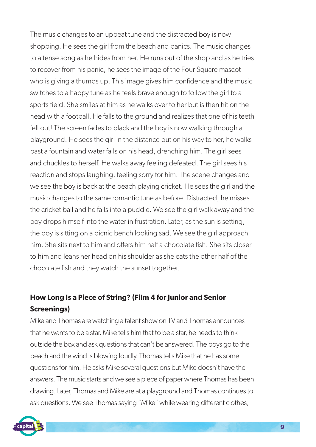The music changes to an upbeat tune and the distracted boy is now shopping. He sees the girl from the beach and panics. The music changes to a tense song as he hides from her. He runs out of the shop and as he tries to recover from his panic, he sees the image of the Four Square mascot who is giving a thumbs up. This image gives him confidence and the music switches to a happy tune as he feels brave enough to follow the girl to a sports field. She smiles at him as he walks over to her but is then hit on the head with a football. He falls to the ground and realizes that one of his teeth fell out! The screen fades to black and the boy is now walking through a playground. He sees the girl in the distance but on his way to her, he walks past a fountain and water falls on his head, drenching him. The girl sees and chuckles to herself. He walks away feeling defeated. The girl sees his reaction and stops laughing, feeling sorry for him. The scene changes and we see the boy is back at the beach playing cricket. He sees the girl and the music changes to the same romantic tune as before. Distracted, he misses the cricket ball and he falls into a puddle. We see the girl walk away and the boy drops himself into the water in frustration. Later, as the sun is setting, the boy is sitting on a picnic bench looking sad. We see the girl approach him. She sits next to him and offers him half a chocolate fish. She sits closer to him and leans her head on his shoulder as she eats the other half of the chocolate fish and they watch the sunset together.

#### **How Long Is a Piece of String? (Film 4 for Junior and Senior Screenings)**

Mike and Thomas are watching a talent show on TV and Thomas announces that he wants to be a star. Mike tells him that to be a star, he needs to think outside the box and ask questions that can't be answered. The boys go to the beach and the wind is blowing loudly. Thomas tells Mike that he has some questions for him. He asks Mike several questions but Mike doesn't have the answers. The music starts and we see a piece of paper where Thomas has been drawing. Later, Thomas and Mike are at a playground and Thomas continues to ask questions. We see Thomas saying "Mike" while wearing different clothes,

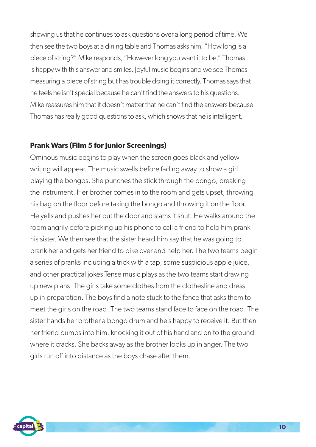showing us that he continues to ask questions over a long period of time. We then see the two boys at a dining table and Thomas asks him, "How long is a piece of string?" Mike responds, "However long you want it to be." Thomas is happy with this answer and smiles. Joyful music begins and we see Thomas measuring a piece of string but has trouble doing it correctly. Thomas says that he feels he isn't special because he can't find the answers to his questions. Mike reassures him that it doesn't matter that he can't find the answers because Thomas has really good questions to ask, which shows that he is intelligent.

#### **Prank Wars (Film 5 for Junior Screenings)**

Ominous music begins to play when the screen goes black and yellow writing will appear. The music swells before fading away to show a girl playing the bongos. She punches the stick through the bongo, breaking the instrument. Her brother comes in to the room and gets upset, throwing his bag on the floor before taking the bongo and throwing it on the floor. He yells and pushes her out the door and slams it shut. He walks around the room angrily before picking up his phone to call a friend to help him prank his sister. We then see that the sister heard him say that he was going to prank her and gets her friend to bike over and help her. The two teams begin a series of pranks including a trick with a tap, some suspicious apple juice, and other practical jokes.Tense music plays as the two teams start drawing up new plans. The girls take some clothes from the clothesline and dress up in preparation. The boys find a note stuck to the fence that asks them to meet the girls on the road. The two teams stand face to face on the road. The sister hands her brother a bongo drum and he's happy to receive it. But then her friend bumps into him, knocking it out of his hand and on to the ground where it cracks. She backs away as the brother looks up in anger. The two girls run off into distance as the boys chase after them.

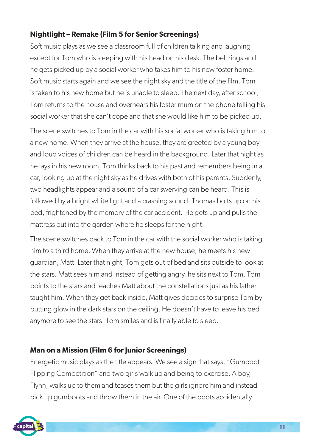#### **Nightlight – Remake (Film 5 for Senior Screenings)**

Soft music plays as we see a classroom full of children talking and laughing except for Tom who is sleeping with his head on his desk. The bell rings and he gets picked up by a social worker who takes him to his new foster home. Soft music starts again and we see the night sky and the title of the film. Tom is taken to his new home but he is unable to sleep. The next day, after school, Tom returns to the house and overhears his foster mum on the phone telling his social worker that she can't cope and that she would like him to be picked up.

The scene switches to Tom in the car with his social worker who is taking him to a new home. When they arrive at the house, they are greeted by a young boy and loud voices of children can be heard in the background. Later that night as he lays in his new room, Tom thinks back to his past and remembers being in a car, looking up at the night sky as he drives with both of his parents. Suddenly, two headlights appear and a sound of a car swerving can be heard. This is followed by a bright white light and a crashing sound. Thomas bolts up on his bed, frightened by the memory of the car accident. He gets up and pulls the mattress out into the garden where he sleeps for the night.

The scene switches back to Tom in the car with the social worker who is taking him to a third home. When they arrive at the new house, he meets his new guardian, Matt. Later that night, Tom gets out of bed and sits outside to look at the stars. Matt sees him and instead of getting angry, he sits next to Tom. Tom points to the stars and teaches Matt about the constellations just as his father taught him. When they get back inside, Matt gives decides to surprise Tom by putting glow in the dark stars on the ceiling. He doesn't have to leave his bed anymore to see the stars! Tom smiles and is finally able to sleep.

#### **Man on a Mission (Film 6 for Junior Screenings)**

Energetic music plays as the title appears. We see a sign that says, "Gumboot Flipping Competition" and two girls walk up and being to exercise. A boy, Flynn, walks up to them and teases them but the girls ignore him and instead pick up gumboots and throw them in the air. One of the boots accidentally

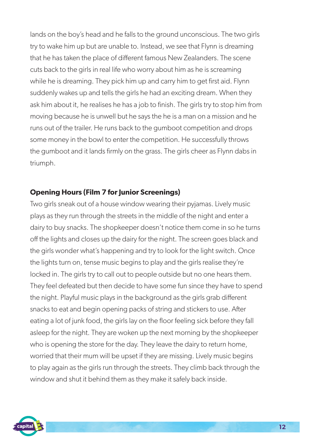lands on the boy's head and he falls to the ground unconscious. The two girls try to wake him up but are unable to. Instead, we see that Flynn is dreaming that he has taken the place of different famous New Zealanders. The scene cuts back to the girls in real life who worry about him as he is screaming while he is dreaming. They pick him up and carry him to get first aid. Flynn suddenly wakes up and tells the girls he had an exciting dream. When they ask him about it, he realises he has a job to finish. The girls try to stop him from moving because he is unwell but he says the he is a man on a mission and he runs out of the trailer. He runs back to the gumboot competition and drops some money in the bowl to enter the competition. He successfully throws the gumboot and it lands firmly on the grass. The girls cheer as Flynn dabs in triumph.

#### **Opening Hours (Film 7 for Junior Screenings)**

Two girls sneak out of a house window wearing their pyjamas. Lively music plays as they run through the streets in the middle of the night and enter a dairy to buy snacks. The shopkeeper doesn't notice them come in so he turns off the lights and closes up the dairy for the night. The screen goes black and the girls wonder what's happening and try to look for the light switch. Once the lights turn on, tense music begins to play and the girls realise they're locked in. The girls try to call out to people outside but no one hears them. They feel defeated but then decide to have some fun since they have to spend the night. Playful music plays in the background as the girls grab different snacks to eat and begin opening packs of string and stickers to use. After eating a lot of junk food, the girls lay on the floor feeling sick before they fall asleep for the night. They are woken up the next morning by the shopkeeper who is opening the store for the day. They leave the dairy to return home, worried that their mum will be upset if they are missing. Lively music begins to play again as the girls run through the streets. They climb back through the window and shut it behind them as they make it safely back inside.

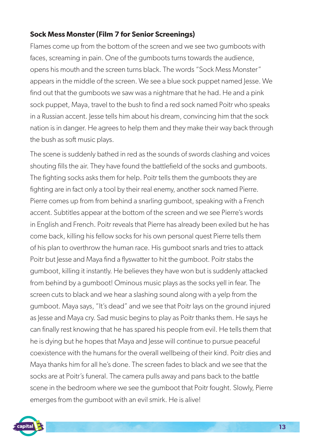#### **Sock Mess Monster (Film 7 for Senior Screenings)**

Flames come up from the bottom of the screen and we see two gumboots with faces, screaming in pain. One of the gumboots turns towards the audience, opens his mouth and the screen turns black. The words "Sock Mess Monster" appears in the middle of the screen. We see a blue sock puppet named Jesse. We find out that the gumboots we saw was a nightmare that he had. He and a pink sock puppet, Maya, travel to the bush to find a red sock named Poitr who speaks in a Russian accent. Jesse tells him about his dream, convincing him that the sock nation is in danger. He agrees to help them and they make their way back through the bush as soft music plays.

The scene is suddenly bathed in red as the sounds of swords clashing and voices shouting fills the air. They have found the battlefield of the socks and gumboots. The fighting socks asks them for help. Poitr tells them the gumboots they are fighting are in fact only a tool by their real enemy, another sock named Pierre. Pierre comes up from from behind a snarling gumboot, speaking with a French accent. Subtitles appear at the bottom of the screen and we see Pierre's words in English and French. Poitr reveals that Pierre has already been exiled but he has come back, killing his fellow socks for his own personal quest Pierre tells them of his plan to overthrow the human race. His gumboot snarls and tries to attack Poitr but Jesse and Maya find a flyswatter to hit the gumboot. Poitr stabs the gumboot, killing it instantly. He believes they have won but is suddenly attacked from behind by a gumboot! Ominous music plays as the socks yell in fear. The screen cuts to black and we hear a slashing sound along with a yelp from the gumboot. Maya says, "It's dead" and we see that Poitr lays on the ground injured as Jesse and Maya cry. Sad music begins to play as Poitr thanks them. He says he can finally rest knowing that he has spared his people from evil. He tells them that he is dying but he hopes that Maya and Jesse will continue to pursue peaceful coexistence with the humans for the overall wellbeing of their kind. Poitr dies and Maya thanks him for all he's done. The screen fades to black and we see that the socks are at Poitr's funeral. The camera pulls away and pans back to the battle scene in the bedroom where we see the gumboot that Poitr fought. Slowly, Pierre emerges from the gumboot with an evil smirk. He is alive!

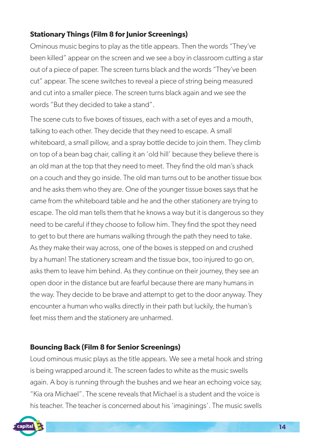#### **Stationary Things (Film 8 for Junior Screenings)**

Ominous music begins to play as the title appears. Then the words "They've been killed" appear on the screen and we see a boy in classroom cutting a star out of a piece of paper. The screen turns black and the words "They've been cut" appear. The scene switches to reveal a piece of string being measured and cut into a smaller piece. The screen turns black again and we see the words "But they decided to take a stand".

The scene cuts to five boxes of tissues, each with a set of eyes and a mouth, talking to each other. They decide that they need to escape. A small whiteboard, a small pillow, and a spray bottle decide to join them. They climb on top of a bean bag chair, calling it an 'old hill' because they believe there is an old man at the top that they need to meet. They find the old man's shack on a couch and they go inside. The old man turns out to be another tissue box and he asks them who they are. One of the younger tissue boxes says that he came from the whiteboard table and he and the other stationery are trying to escape. The old man tells them that he knows a way but it is dangerous so they need to be careful if they choose to follow him. They find the spot they need to get to but there are humans walking through the path they need to take. As they make their way across, one of the boxes is stepped on and crushed by a human! The stationery scream and the tissue box, too injured to go on, asks them to leave him behind. As they continue on their journey, they see an open door in the distance but are fearful because there are many humans in the way. They decide to be brave and attempt to get to the door anyway. They encounter a human who walks directly in their path but luckily, the human's feet miss them and the stationery are unharmed.

#### **Bouncing Back (Film 8 for Senior Screenings)**

Loud ominous music plays as the title appears. We see a metal hook and string is being wrapped around it. The screen fades to white as the music swells again. A boy is running through the bushes and we hear an echoing voice say, "Kia ora Michael". The scene reveals that Michael is a student and the voice is his teacher. The teacher is concerned about his 'imaginings'. The music swells

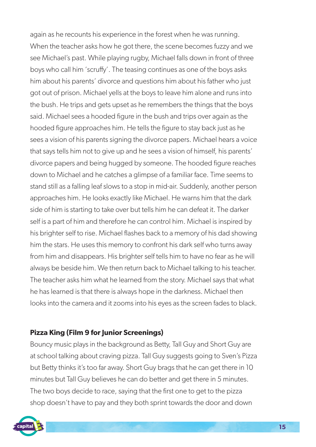again as he recounts his experience in the forest when he was running. When the teacher asks how he got there, the scene becomes fuzzy and we see Michael's past. While playing rugby, Michael falls down in front of three boys who call him 'scruffy'. The teasing continues as one of the boys asks him about his parents' divorce and questions him about his father who just got out of prison. Michael yells at the boys to leave him alone and runs into the bush. He trips and gets upset as he remembers the things that the boys said. Michael sees a hooded figure in the bush and trips over again as the hooded figure approaches him. He tells the figure to stay back just as he sees a vision of his parents signing the divorce papers. Michael hears a voice that says tells him not to give up and he sees a vision of himself, his parents' divorce papers and being hugged by someone. The hooded figure reaches down to Michael and he catches a glimpse of a familiar face. Time seems to stand still as a falling leaf slows to a stop in mid-air. Suddenly, another person approaches him. He looks exactly like Michael. He warns him that the dark side of him is starting to take over but tells him he can defeat it. The darker self is a part of him and therefore he can control him. Michael is inspired by his brighter self to rise. Michael flashes back to a memory of his dad showing him the stars. He uses this memory to confront his dark self who turns away from him and disappears. His brighter self tells him to have no fear as he will always be beside him. We then return back to Michael talking to his teacher. The teacher asks him what he learned from the story. Michael says that what he has learned is that there is always hope in the darkness. Michael then looks into the camera and it zooms into his eyes as the screen fades to black.

#### **Pizza King (Film 9 for Junior Screenings)**

Bouncy music plays in the background as Betty, Tall Guy and Short Guy are at school talking about craving pizza. Tall Guy suggests going to Sven's Pizza but Betty thinks it's too far away. Short Guy brags that he can get there in 10 minutes but Tall Guy believes he can do better and get there in 5 minutes. The two boys decide to race, saying that the first one to get to the pizza shop doesn't have to pay and they both sprint towards the door and down

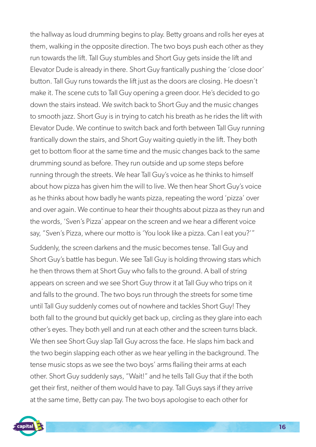the hallway as loud drumming begins to play. Betty groans and rolls her eyes at them, walking in the opposite direction. The two boys push each other as they run towards the lift. Tall Guy stumbles and Short Guy gets inside the lift and Elevator Dude is already in there. Short Guy frantically pushing the 'close door' button. Tall Guy runs towards the lift just as the doors are closing. He doesn't make it. The scene cuts to Tall Guy opening a green door. He's decided to go down the stairs instead. We switch back to Short Guy and the music changes to smooth jazz. Short Guy is in trying to catch his breath as he rides the lift with Elevator Dude. We continue to switch back and forth between Tall Guy running frantically down the stairs, and Short Guy waiting quietly in the lift. They both get to bottom floor at the same time and the music changes back to the same drumming sound as before. They run outside and up some steps before running through the streets. We hear Tall Guy's voice as he thinks to himself about how pizza has given him the will to live. We then hear Short Guy's voice as he thinks about how badly he wants pizza, repeating the word 'pizza' over and over again. We continue to hear their thoughts about pizza as they run and the words, 'Sven's Pizza' appear on the screen and we hear a different voice say, "Sven's Pizza, where our motto is 'You look like a pizza. Can I eat you?'"

Suddenly, the screen darkens and the music becomes tense. Tall Guy and Short Guy's battle has begun. We see Tall Guy is holding throwing stars which he then throws them at Short Guy who falls to the ground. A ball of string appears on screen and we see Short Guy throw it at Tall Guy who trips on it and falls to the ground. The two boys run through the streets for some time until Tall Guy suddenly comes out of nowhere and tackles Short Guy! They both fall to the ground but quickly get back up, circling as they glare into each other's eyes. They both yell and run at each other and the screen turns black. We then see Short Guy slap Tall Guy across the face. He slaps him back and the two begin slapping each other as we hear yelling in the background. The tense music stops as we see the two boys' arms flailing their arms at each other. Short Guy suddenly says, "Wait!" and he tells Tall Guy that if the both get their first, neither of them would have to pay. Tall Guys says if they arrive at the same time, Betty can pay. The two boys apologise to each other for

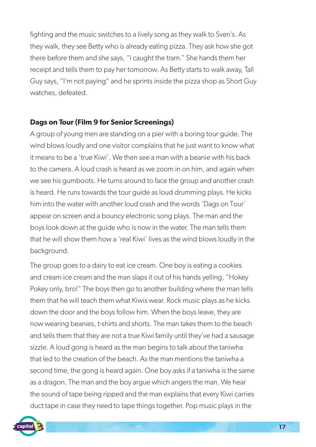fighting and the music switches to a lively song as they walk to Sven's. As they walk, they see Betty who is already eating pizza. They ask how she got there before them and she says, "I caught the tram." She hands them her receipt and tells them to pay her tomorrow. As Betty starts to walk away, Tall Guy says, "I'm not paying" and he sprints inside the pizza shop as Short Guy watches, defeated.

#### **Dags on Tour (Film 9 for Senior Screenings)**

A group of young men are standing on a pier with a boring tour guide. The wind blows loudly and one visitor complains that he just want to know what it means to be a 'true Kiwi'. We then see a man with a beanie with his back to the camera. A loud crash is heard as we zoom in on him, and again when we see his gumboots. He turns around to face the group and another crash is heard. He runs towards the tour guide as loud drumming plays. He kicks him into the water with another loud crash and the words 'Dags on Tour' appear on screen and a bouncy electronic song plays. The man and the boys look down at the guide who is now in the water. The man tells them that he will show them how a 'real Kiwi' lives as the wind blows loudly in the background.

The group goes to a dairy to eat ice cream. One boy is eating a cookies and cream ice cream and the man slaps it out of his hands yelling, "Hokey Pokey only, bro!" The boys then go to another building where the man tells them that he will teach them what Kiwis wear. Rock music plays as he kicks down the door and the boys follow him. When the boys leave, they are now wearing beanies, t-shirts and shorts. The man takes them to the beach and tells them that they are not a true Kiwi family until they've had a sausage sizzle. A loud gong is heard as the man begins to talk about the taniwha that led to the creation of the beach. As the man mentions the taniwha a second time, the gong is heard again. One boy asks if a taniwha is the same as a dragon. The man and the boy argue which angers the man. We hear the sound of tape being ripped and the man explains that every Kiwi carries duct tape in case they need to tape things together. Pop music plays in the